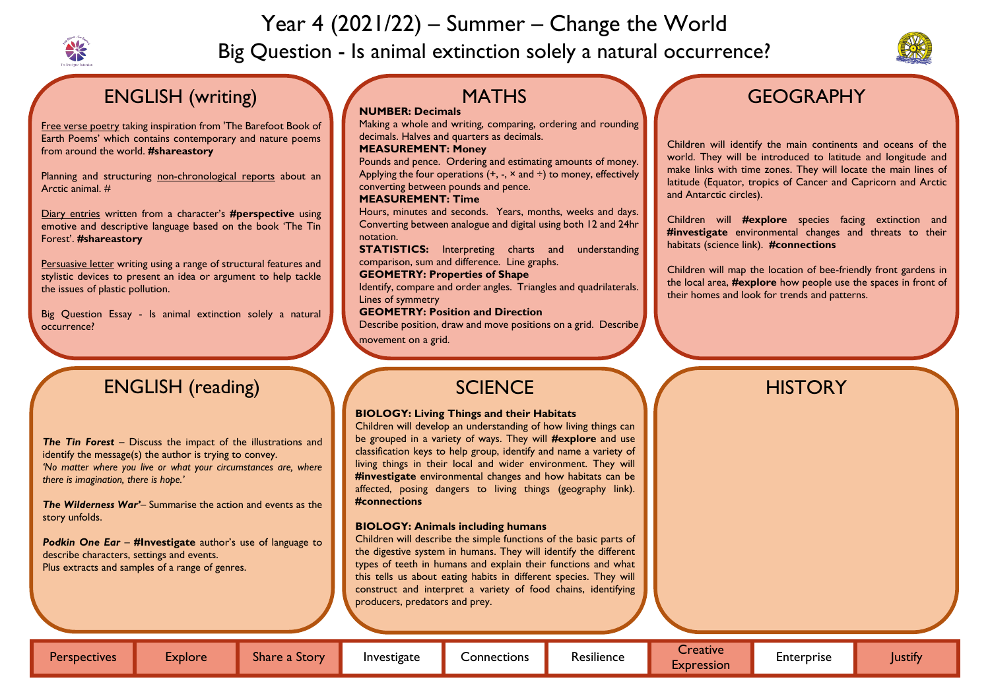

# Year 4 (2021/22) – Summer – Change the World Big Question - Is animal extinction solely a natural occurrence?



# **GEOGRAPHY**

# ENGLISH (writing)

Planning and structuring non-chronological reports about an Arctic animal. #

Free verse poetry taking inspiration from 'The Barefoot Book of Earth Poems' which contains contemporary and nature poems from around the world. **#shareastory**

Diary entries written from a character's **#perspective** using emotive and descriptive language based on the book 'The Tin Forest'. **#shareastory**

Persuasive letter writing using a range of structural features and stylistic devices to present an idea or argument to help tackle the issues of plastic pollution.

**STATISTICS:** Interpreting charts and understanding comparison, sum and difference. Line graphs.

Big Question Essay - Is animal extinction solely a natural occurrence?

Describe position, draw and move positions on a grid. Describe movement on a grid.

#### **NUMBER: Decimals**

Making a whole and writing, comparing, ordering and rounding decimals. Halves and quarters as decimals.

#### **MEASUREMENT: Money**

Pounds and pence. Ordering and estimating amounts of money. Applying the four operations  $(+, -, \times \text{ and } \div)$  to money, effectively converting between pounds and pence.

### **MEASUREMENT: Time**

Hours, minutes and seconds. Years, months, weeks and days. Converting between analogue and digital using both 12 and 24hr notation.

#### **GEOMETRY: Properties of Shape**

Identify, compare and order angles. Triangles and quadrilaterals. Lines of symmetry

#### **GEOMETRY: Position and Direction**

Children will identify the main continents and oceans of the world. They will be introduced to latitude and longitude and make links with time zones. They will locate the main lines of latitude (Equator, tropics of Cancer and Capricorn and Arctic and Antarctic circles).

Children will **#explore** species facing extinction and **#investigate** environmental changes and threats to their habitats (science link). **#connections**

Children will map the location of bee-friendly front gardens in the local area, **#explore** how people use the spaces in front of their homes and look for trends and patterns.

# ENGLISH (reading)

*The Tin Forest* – Discuss the impact of the illustrations and identify the message(s) the author is trying to convey. *'No matter where you live or what your circumstances are, where there is imagination, there is hope.'*

*The Wilderness War'*– Summarise the action and events as the story unfolds.

*Podkin One Ear* – **#Investigate** author's use of language to describe characters, settings and events. Plus extracts and samples of a range of genres.

## **MATHS**



#### **BIOLOGY: Living Things and their Habitats**

Children will develop an understanding of how living things can be grouped in a variety of ways. They will **#explore** and use classification keys to help group, identify and name a variety of living things in their local and wider environment. They will **#investigate** environmental changes and how habitats can be affected, posing dangers to living things (geography link). **#connections**

#### **BIOLOGY: Animals including humans**

Children will describe the simple functions of the basic parts of the digestive system in humans. They will identify the different types of teeth in humans and explain their functions and what this tells us about eating habits in different species. They will construct and interpret a variety of food chains, identifying producers, predators and prey.